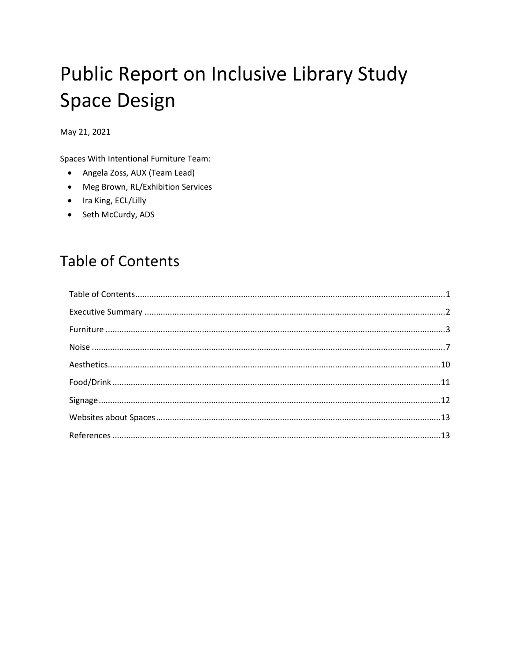# Public Report on Inclusive Library Study **Space Design**

May 21, 2021

Spaces With Intentional Furniture Team:

- Angela Zoss, AUX (Team Lead)
- Meg Brown, RL/Exhibition Services
- Ira King, ECL/Lilly
- Seth McCurdy, ADS

### <span id="page-0-0"></span>**Table of Contents**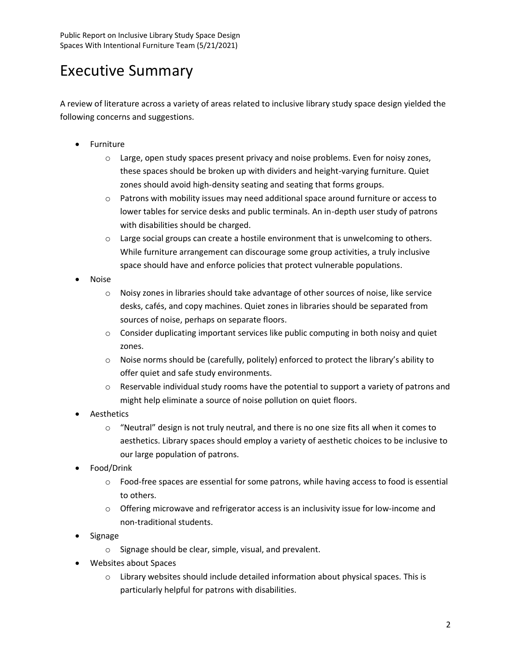### <span id="page-1-0"></span>Executive Summary

A review of literature across a variety of areas related to inclusive library study space design yielded the following concerns and suggestions.

- Furniture
	- $\circ$  Large, open study spaces present privacy and noise problems. Even for noisy zones, these spaces should be broken up with dividers and height-varying furniture. Quiet zones should avoid high-density seating and seating that forms groups.
	- $\circ$  Patrons with mobility issues may need additional space around furniture or access to lower tables for service desks and public terminals. An in-depth user study of patrons with disabilities should be charged.
	- o Large social groups can create a hostile environment that is unwelcoming to others. While furniture arrangement can discourage some group activities, a truly inclusive space should have and enforce policies that protect vulnerable populations.
- Noise
	- o Noisy zones in libraries should take advantage of other sources of noise, like service desks, cafés, and copy machines. Quiet zones in libraries should be separated from sources of noise, perhaps on separate floors.
	- $\circ$  Consider duplicating important services like public computing in both noisy and quiet zones.
	- $\circ$  Noise norms should be (carefully, politely) enforced to protect the library's ability to offer quiet and safe study environments.
	- $\circ$  Reservable individual study rooms have the potential to support a variety of patrons and might help eliminate a source of noise pollution on quiet floors.
- Aesthetics
	- $\circ$  "Neutral" design is not truly neutral, and there is no one size fits all when it comes to aesthetics. Library spaces should employ a variety of aesthetic choices to be inclusive to our large population of patrons.
- Food/Drink
	- $\circ$  Food-free spaces are essential for some patrons, while having access to food is essential to others.
	- o Offering microwave and refrigerator access is an inclusivity issue for low-income and non-traditional students.
- Signage
	- o Signage should be clear, simple, visual, and prevalent.
- Websites about Spaces
	- o Library websites should include detailed information about physical spaces. This is particularly helpful for patrons with disabilities.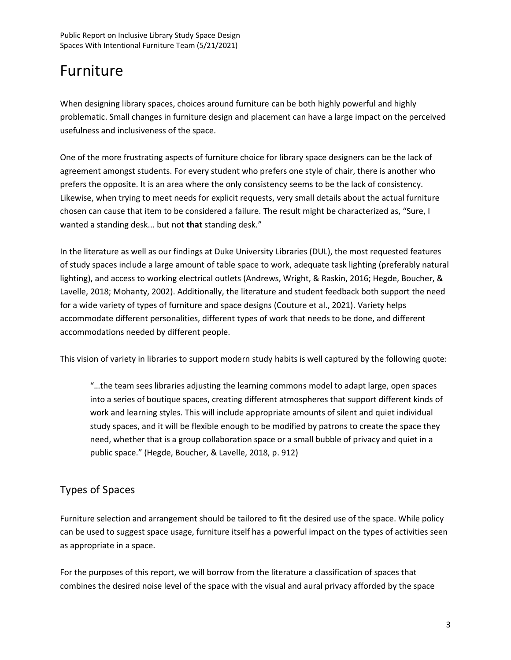### <span id="page-2-0"></span>Furniture

When designing library spaces, choices around furniture can be both highly powerful and highly problematic. Small changes in furniture design and placement can have a large impact on the perceived usefulness and inclusiveness of the space.

One of the more frustrating aspects of furniture choice for library space designers can be the lack of agreement amongst students. For every student who prefers one style of chair, there is another who prefers the opposite. It is an area where the only consistency seems to be the lack of consistency. Likewise, when trying to meet needs for explicit requests, very small details about the actual furniture chosen can cause that item to be considered a failure. The result might be characterized as, "Sure, I wanted a standing desk... but not **that** standing desk."

In the literature as well as our findings at Duke University Libraries (DUL), the most requested features of study spaces include a large amount of table space to work, adequate task lighting (preferably natural lighting), and access to working electrical outlets (Andrews, Wright, & Raskin, 2016; Hegde, Boucher, & Lavelle, 2018; Mohanty, 2002). Additionally, the literature and student feedback both support the need for a wide variety of types of furniture and space designs (Couture et al., 2021). Variety helps accommodate different personalities, different types of work that needs to be done, and different accommodations needed by different people.

This vision of variety in libraries to support modern study habits is well captured by the following quote:

"…the team sees libraries adjusting the learning commons model to adapt large, open spaces into a series of boutique spaces, creating different atmospheres that support different kinds of work and learning styles. This will include appropriate amounts of silent and quiet individual study spaces, and it will be flexible enough to be modified by patrons to create the space they need, whether that is a group collaboration space or a small bubble of privacy and quiet in a public space." (Hegde, Boucher, & Lavelle, 2018, p. 912)

#### Types of Spaces

Furniture selection and arrangement should be tailored to fit the desired use of the space. While policy can be used to suggest space usage, furniture itself has a powerful impact on the types of activities seen as appropriate in a space.

For the purposes of this report, we will borrow from the literature a classification of spaces that combines the desired noise level of the space with the visual and aural privacy afforded by the space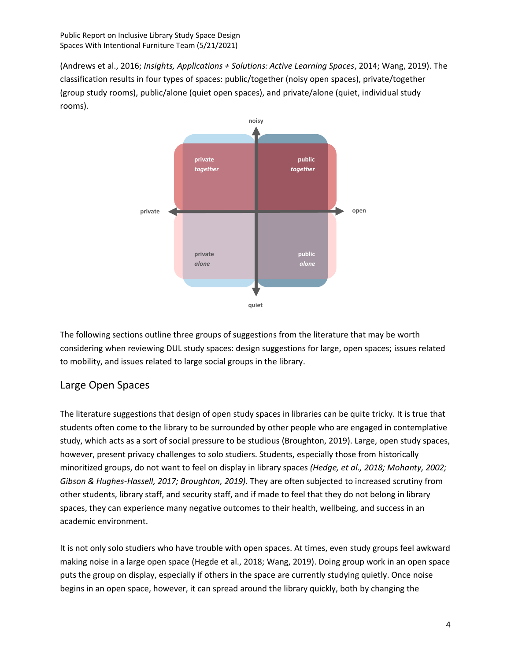(Andrews et al., 2016; *Insights, Applications + Solutions: Active Learning Spaces*, 2014; Wang, 2019). The classification results in four types of spaces: public/together (noisy open spaces), private/together (group study rooms), public/alone (quiet open spaces), and private/alone (quiet, individual study rooms).



The following sections outline three groups of suggestions from the literature that may be worth considering when reviewing DUL study spaces: design suggestions for large, open spaces; issues related to mobility, and issues related to large social groups in the library.

#### Large Open Spaces

The literature suggestions that design of open study spaces in libraries can be quite tricky. It is true that students often come to the library to be surrounded by other people who are engaged in contemplative study, which acts as a sort of social pressure to be studious (Broughton, 2019). Large, open study spaces, however, present privacy challenges to solo studiers. Students, especially those from historically minoritized groups, do not want to feel on display in library spaces *(Hedge, et al., 2018; Mohanty, 2002; Gibson & Hughes-Hassell, 2017; Broughton, 2019).* They are often subjected to increased scrutiny from other students, library staff, and security staff, and if made to feel that they do not belong in library spaces, they can experience many negative outcomes to their health, wellbeing, and success in an academic environment.

It is not only solo studiers who have trouble with open spaces. At times, even study groups feel awkward making noise in a large open space (Hegde et al., 2018; Wang, 2019). Doing group work in an open space puts the group on display, especially if others in the space are currently studying quietly. Once noise begins in an open space, however, it can spread around the library quickly, both by changing the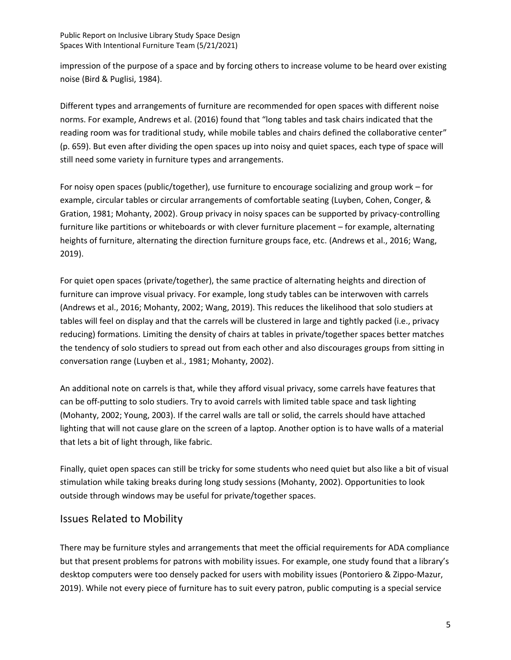impression of the purpose of a space and by forcing others to increase volume to be heard over existing noise (Bird & Puglisi, 1984).

Different types and arrangements of furniture are recommended for open spaces with different noise norms. For example, Andrews et al. (2016) found that "long tables and task chairs indicated that the reading room was for traditional study, while mobile tables and chairs defined the collaborative center" (p. 659). But even after dividing the open spaces up into noisy and quiet spaces, each type of space will still need some variety in furniture types and arrangements.

For noisy open spaces (public/together), use furniture to encourage socializing and group work – for example, circular tables or circular arrangements of comfortable seating (Luyben, Cohen, Conger, & Gration, 1981; Mohanty, 2002). Group privacy in noisy spaces can be supported by privacy-controlling furniture like partitions or whiteboards or with clever furniture placement – for example, alternating heights of furniture, alternating the direction furniture groups face, etc. (Andrews et al., 2016; Wang, 2019).

For quiet open spaces (private/together), the same practice of alternating heights and direction of furniture can improve visual privacy. For example, long study tables can be interwoven with carrels (Andrews et al., 2016; Mohanty, 2002; Wang, 2019). This reduces the likelihood that solo studiers at tables will feel on display and that the carrels will be clustered in large and tightly packed (i.e., privacy reducing) formations. Limiting the density of chairs at tables in private/together spaces better matches the tendency of solo studiers to spread out from each other and also discourages groups from sitting in conversation range (Luyben et al., 1981; Mohanty, 2002).

An additional note on carrels is that, while they afford visual privacy, some carrels have features that can be off-putting to solo studiers. Try to avoid carrels with limited table space and task lighting (Mohanty, 2002; Young, 2003). If the carrel walls are tall or solid, the carrels should have attached lighting that will not cause glare on the screen of a laptop. Another option is to have walls of a material that lets a bit of light through, like fabric.

Finally, quiet open spaces can still be tricky for some students who need quiet but also like a bit of visual stimulation while taking breaks during long study sessions (Mohanty, 2002). Opportunities to look outside through windows may be useful for private/together spaces.

#### Issues Related to Mobility

There may be furniture styles and arrangements that meet the official requirements for ADA compliance but that present problems for patrons with mobility issues. For example, one study found that a library's desktop computers were too densely packed for users with mobility issues (Pontoriero & Zippo-Mazur, 2019). While not every piece of furniture has to suit every patron, public computing is a special service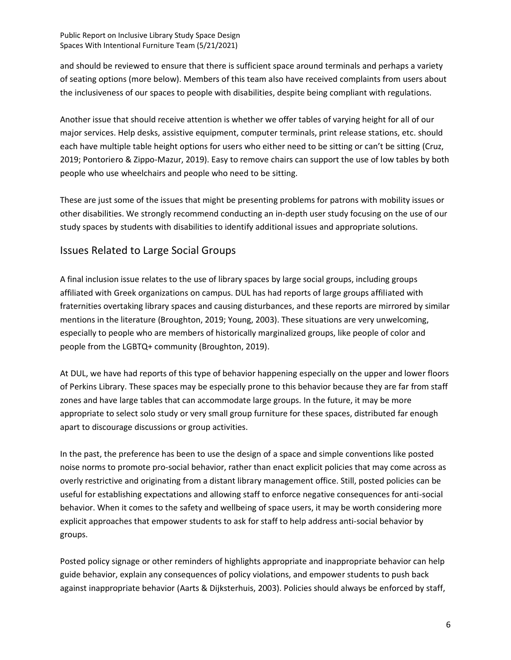and should be reviewed to ensure that there is sufficient space around terminals and perhaps a variety of seating options (more below). Members of this team also have received complaints from users about the inclusiveness of our spaces to people with disabilities, despite being compliant with regulations.

Another issue that should receive attention is whether we offer tables of varying height for all of our major services. Help desks, assistive equipment, computer terminals, print release stations, etc. should each have multiple table height options for users who either need to be sitting or can't be sitting (Cruz, 2019; Pontoriero & Zippo-Mazur, 2019). Easy to remove chairs can support the use of low tables by both people who use wheelchairs and people who need to be sitting.

These are just some of the issues that might be presenting problems for patrons with mobility issues or other disabilities. We strongly recommend conducting an in-depth user study focusing on the use of our study spaces by students with disabilities to identify additional issues and appropriate solutions.

#### Issues Related to Large Social Groups

A final inclusion issue relates to the use of library spaces by large social groups, including groups affiliated with Greek organizations on campus. DUL has had reports of large groups affiliated with fraternities overtaking library spaces and causing disturbances, and these reports are mirrored by similar mentions in the literature (Broughton, 2019; Young, 2003). These situations are very unwelcoming, especially to people who are members of historically marginalized groups, like people of color and people from the LGBTQ+ community (Broughton, 2019).

At DUL, we have had reports of this type of behavior happening especially on the upper and lower floors of Perkins Library. These spaces may be especially prone to this behavior because they are far from staff zones and have large tables that can accommodate large groups. In the future, it may be more appropriate to select solo study or very small group furniture for these spaces, distributed far enough apart to discourage discussions or group activities.

In the past, the preference has been to use the design of a space and simple conventions like posted noise norms to promote pro-social behavior, rather than enact explicit policies that may come across as overly restrictive and originating from a distant library management office. Still, posted policies can be useful for establishing expectations and allowing staff to enforce negative consequences for anti-social behavior. When it comes to the safety and wellbeing of space users, it may be worth considering more explicit approaches that empower students to ask for staff to help address anti-social behavior by groups.

Posted policy signage or other reminders of highlights appropriate and inappropriate behavior can help guide behavior, explain any consequences of policy violations, and empower students to push back against inappropriate behavior (Aarts & Dijksterhuis, 2003). Policies should always be enforced by staff,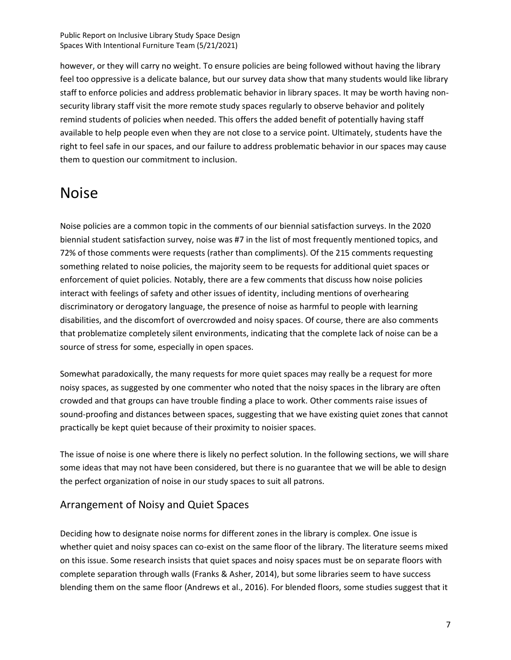however, or they will carry no weight. To ensure policies are being followed without having the library feel too oppressive is a delicate balance, but our survey data show that many students would like library staff to enforce policies and address problematic behavior in library spaces. It may be worth having nonsecurity library staff visit the more remote study spaces regularly to observe behavior and politely remind students of policies when needed. This offers the added benefit of potentially having staff available to help people even when they are not close to a service point. Ultimately, students have the right to feel safe in our spaces, and our failure to address problematic behavior in our spaces may cause them to question our commitment to inclusion.

### <span id="page-6-0"></span>Noise

Noise policies are a common topic in the comments of our biennial satisfaction surveys. In the 2020 biennial student satisfaction survey, noise was #7 in the list of most frequently mentioned topics, and 72% of those comments were requests (rather than compliments). Of the 215 comments requesting something related to noise policies, the majority seem to be requests for additional quiet spaces or enforcement of quiet policies. Notably, there are a few comments that discuss how noise policies interact with feelings of safety and other issues of identity, including mentions of overhearing discriminatory or derogatory language, the presence of noise as harmful to people with learning disabilities, and the discomfort of overcrowded and noisy spaces. Of course, there are also comments that problematize completely silent environments, indicating that the complete lack of noise can be a source of stress for some, especially in open spaces.

Somewhat paradoxically, the many requests for more quiet spaces may really be a request for more noisy spaces, as suggested by one commenter who noted that the noisy spaces in the library are often crowded and that groups can have trouble finding a place to work. Other comments raise issues of sound-proofing and distances between spaces, suggesting that we have existing quiet zones that cannot practically be kept quiet because of their proximity to noisier spaces.

The issue of noise is one where there is likely no perfect solution. In the following sections, we will share some ideas that may not have been considered, but there is no guarantee that we will be able to design the perfect organization of noise in our study spaces to suit all patrons.

#### Arrangement of Noisy and Quiet Spaces

Deciding how to designate noise norms for different zones in the library is complex. One issue is whether quiet and noisy spaces can co-exist on the same floor of the library. The literature seems mixed on this issue. Some research insists that quiet spaces and noisy spaces must be on separate floors with complete separation through walls (Franks & Asher, 2014), but some libraries seem to have success blending them on the same floor (Andrews et al., 2016). For blended floors, some studies suggest that it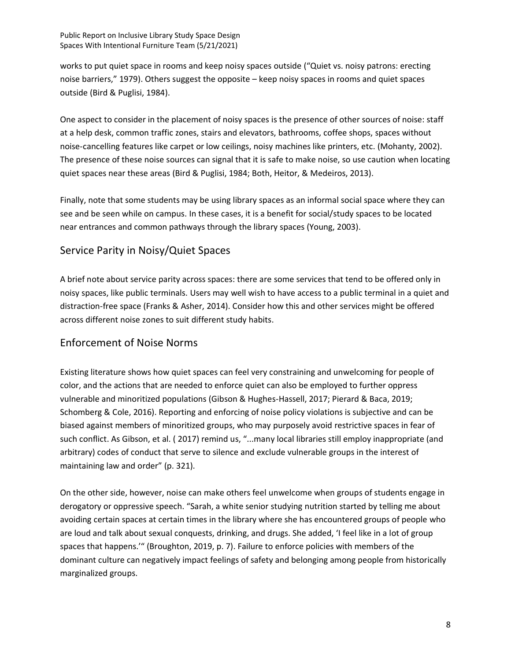works to put quiet space in rooms and keep noisy spaces outside ("Quiet vs. noisy patrons: erecting noise barriers," 1979). Others suggest the opposite – keep noisy spaces in rooms and quiet spaces outside (Bird & Puglisi, 1984).

One aspect to consider in the placement of noisy spaces is the presence of other sources of noise: staff at a help desk, common traffic zones, stairs and elevators, bathrooms, coffee shops, spaces without noise-cancelling features like carpet or low ceilings, noisy machines like printers, etc. (Mohanty, 2002). The presence of these noise sources can signal that it is safe to make noise, so use caution when locating quiet spaces near these areas (Bird & Puglisi, 1984; Both, Heitor, & Medeiros, 2013).

Finally, note that some students may be using library spaces as an informal social space where they can see and be seen while on campus. In these cases, it is a benefit for social/study spaces to be located near entrances and common pathways through the library spaces (Young, 2003).

#### Service Parity in Noisy/Quiet Spaces

A brief note about service parity across spaces: there are some services that tend to be offered only in noisy spaces, like public terminals. Users may well wish to have access to a public terminal in a quiet and distraction-free space (Franks & Asher, 2014). Consider how this and other services might be offered across different noise zones to suit different study habits.

#### Enforcement of Noise Norms

Existing literature shows how quiet spaces can feel very constraining and unwelcoming for people of color, and the actions that are needed to enforce quiet can also be employed to further oppress vulnerable and minoritized populations (Gibson & Hughes-Hassell, 2017; Pierard & Baca, 2019; Schomberg & Cole, 2016). Reporting and enforcing of noise policy violations is subjective and can be biased against members of minoritized groups, who may purposely avoid restrictive spaces in fear of such conflict. As Gibson, et al. ( 2017) remind us, "...many local libraries still employ inappropriate (and arbitrary) codes of conduct that serve to silence and exclude vulnerable groups in the interest of maintaining law and order" (p. 321).

On the other side, however, noise can make others feel unwelcome when groups of students engage in derogatory or oppressive speech. "Sarah, a white senior studying nutrition started by telling me about avoiding certain spaces at certain times in the library where she has encountered groups of people who are loud and talk about sexual conquests, drinking, and drugs. She added, 'I feel like in a lot of group spaces that happens.'" (Broughton, 2019, p. 7). Failure to enforce policies with members of the dominant culture can negatively impact feelings of safety and belonging among people from historically marginalized groups.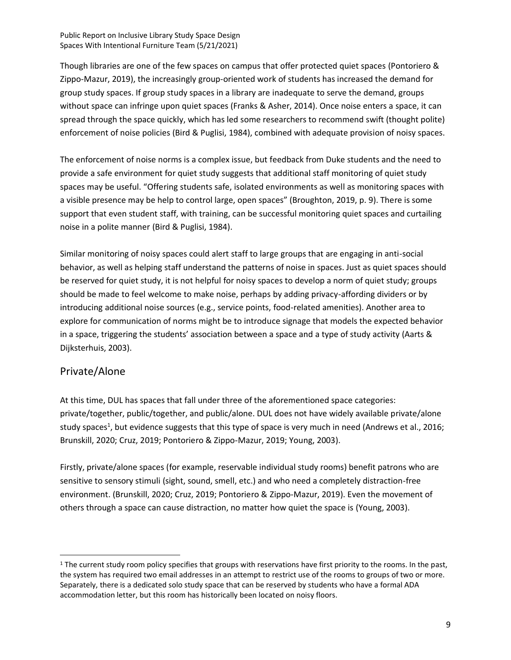Though libraries are one of the few spaces on campus that offer protected quiet spaces (Pontoriero & Zippo-Mazur, 2019), the increasingly group-oriented work of students has increased the demand for group study spaces. If group study spaces in a library are inadequate to serve the demand, groups without space can infringe upon quiet spaces (Franks & Asher, 2014). Once noise enters a space, it can spread through the space quickly, which has led some researchers to recommend swift (thought polite) enforcement of noise policies (Bird & Puglisi, 1984), combined with adequate provision of noisy spaces.

The enforcement of noise norms is a complex issue, but feedback from Duke students and the need to provide a safe environment for quiet study suggests that additional staff monitoring of quiet study spaces may be useful. "Offering students safe, isolated environments as well as monitoring spaces with a visible presence may be help to control large, open spaces" (Broughton, 2019, p. 9). There is some support that even student staff, with training, can be successful monitoring quiet spaces and curtailing noise in a polite manner (Bird & Puglisi, 1984).

Similar monitoring of noisy spaces could alert staff to large groups that are engaging in anti-social behavior, as well as helping staff understand the patterns of noise in spaces. Just as quiet spaces should be reserved for quiet study, it is not helpful for noisy spaces to develop a norm of quiet study; groups should be made to feel welcome to make noise, perhaps by adding privacy-affording dividers or by introducing additional noise sources (e.g., service points, food-related amenities). Another area to explore for communication of norms might be to introduce signage that models the expected behavior in a space, triggering the students' association between a space and a type of study activity (Aarts & Dijksterhuis, 2003).

#### Private/Alone

At this time, DUL has spaces that fall under three of the aforementioned space categories: private/together, public/together, and public/alone. DUL does not have widely available private/alone study spaces<sup>1</sup>, but evidence suggests that this type of space is very much in need (Andrews et al., 2016; Brunskill, 2020; Cruz, 2019; Pontoriero & Zippo-Mazur, 2019; Young, 2003).

Firstly, private/alone spaces (for example, reservable individual study rooms) benefit patrons who are sensitive to sensory stimuli (sight, sound, smell, etc.) and who need a completely distraction-free environment. (Brunskill, 2020; Cruz, 2019; Pontoriero & Zippo-Mazur, 2019). Even the movement of others through a space can cause distraction, no matter how quiet the space is (Young, 2003).

 $1$  The current study room policy specifies that groups with reservations have first priority to the rooms. In the past, the system has required two email addresses in an attempt to restrict use of the rooms to groups of two or more. Separately, there is a dedicated solo study space that can be reserved by students who have a formal ADA accommodation letter, but this room has historically been located on noisy floors.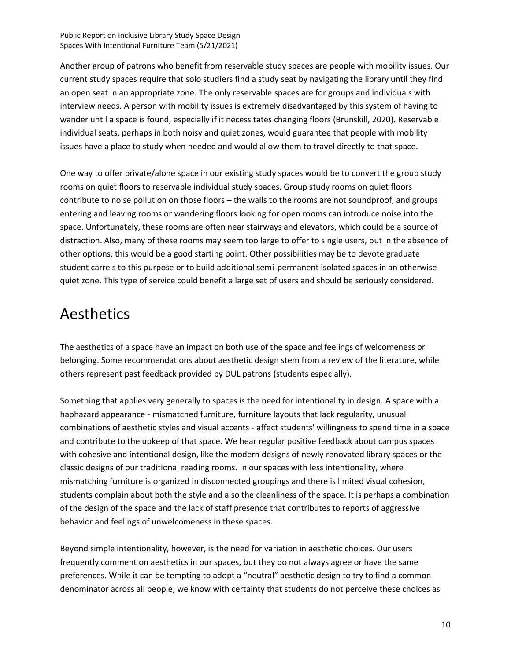Another group of patrons who benefit from reservable study spaces are people with mobility issues. Our current study spaces require that solo studiers find a study seat by navigating the library until they find an open seat in an appropriate zone. The only reservable spaces are for groups and individuals with interview needs. A person with mobility issues is extremely disadvantaged by this system of having to wander until a space is found, especially if it necessitates changing floors (Brunskill, 2020). Reservable individual seats, perhaps in both noisy and quiet zones, would guarantee that people with mobility issues have a place to study when needed and would allow them to travel directly to that space.

One way to offer private/alone space in our existing study spaces would be to convert the group study rooms on quiet floors to reservable individual study spaces. Group study rooms on quiet floors contribute to noise pollution on those floors – the walls to the rooms are not soundproof, and groups entering and leaving rooms or wandering floors looking for open rooms can introduce noise into the space. Unfortunately, these rooms are often near stairways and elevators, which could be a source of distraction. Also, many of these rooms may seem too large to offer to single users, but in the absence of other options, this would be a good starting point. Other possibilities may be to devote graduate student carrels to this purpose or to build additional semi-permanent isolated spaces in an otherwise quiet zone. This type of service could benefit a large set of users and should be seriously considered.

### <span id="page-9-0"></span>Aesthetics

The aesthetics of a space have an impact on both use of the space and feelings of welcomeness or belonging. Some recommendations about aesthetic design stem from a review of the literature, while others represent past feedback provided by DUL patrons (students especially).

Something that applies very generally to spaces is the need for intentionality in design. A space with a haphazard appearance - mismatched furniture, furniture layouts that lack regularity, unusual combinations of aesthetic styles and visual accents - affect students' willingness to spend time in a space and contribute to the upkeep of that space. We hear regular positive feedback about campus spaces with cohesive and intentional design, like the modern designs of newly renovated library spaces or the classic designs of our traditional reading rooms. In our spaces with less intentionality, where mismatching furniture is organized in disconnected groupings and there is limited visual cohesion, students complain about both the style and also the cleanliness of the space. It is perhaps a combination of the design of the space and the lack of staff presence that contributes to reports of aggressive behavior and feelings of unwelcomeness in these spaces.

Beyond simple intentionality, however, is the need for variation in aesthetic choices. Our users frequently comment on aesthetics in our spaces, but they do not always agree or have the same preferences. While it can be tempting to adopt a "neutral" aesthetic design to try to find a common denominator across all people, we know with certainty that students do not perceive these choices as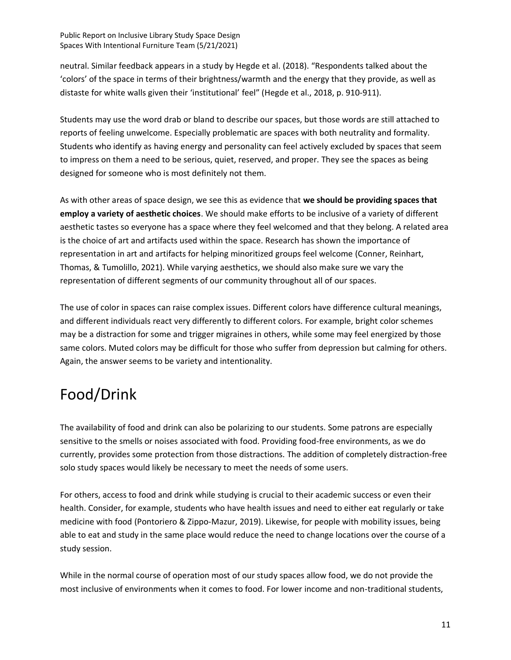neutral. Similar feedback appears in a study by Hegde et al. (2018). "Respondents talked about the 'colors' of the space in terms of their brightness/warmth and the energy that they provide, as well as distaste for white walls given their 'institutional' feel" (Hegde et al., 2018, p. 910-911).

Students may use the word drab or bland to describe our spaces, but those words are still attached to reports of feeling unwelcome. Especially problematic are spaces with both neutrality and formality. Students who identify as having energy and personality can feel actively excluded by spaces that seem to impress on them a need to be serious, quiet, reserved, and proper. They see the spaces as being designed for someone who is most definitely not them.

As with other areas of space design, we see this as evidence that **we should be providing spaces that employ a variety of aesthetic choices**. We should make efforts to be inclusive of a variety of different aesthetic tastes so everyone has a space where they feel welcomed and that they belong. A related area is the choice of art and artifacts used within the space. Research has shown the importance of representation in art and artifacts for helping minoritized groups feel welcome (Conner, Reinhart, Thomas, & Tumolillo, 2021). While varying aesthetics, we should also make sure we vary the representation of different segments of our community throughout all of our spaces.

The use of color in spaces can raise complex issues. Different colors have difference cultural meanings, and different individuals react very differently to different colors. For example, bright color schemes may be a distraction for some and trigger migraines in others, while some may feel energized by those same colors. Muted colors may be difficult for those who suffer from depression but calming for others. Again, the answer seems to be variety and intentionality.

## <span id="page-10-0"></span>Food/Drink

The availability of food and drink can also be polarizing to our students. Some patrons are especially sensitive to the smells or noises associated with food. Providing food-free environments, as we do currently, provides some protection from those distractions. The addition of completely distraction-free solo study spaces would likely be necessary to meet the needs of some users.

For others, access to food and drink while studying is crucial to their academic success or even their health. Consider, for example, students who have health issues and need to either eat regularly or take medicine with food (Pontoriero & Zippo-Mazur, 2019). Likewise, for people with mobility issues, being able to eat and study in the same place would reduce the need to change locations over the course of a study session.

While in the normal course of operation most of our study spaces allow food, we do not provide the most inclusive of environments when it comes to food. For lower income and non-traditional students,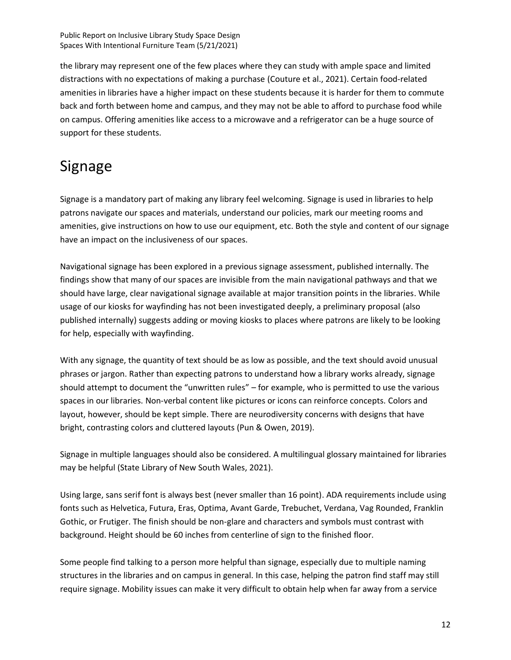the library may represent one of the few places where they can study with ample space and limited distractions with no expectations of making a purchase (Couture et al., 2021). Certain food-related amenities in libraries have a higher impact on these students because it is harder for them to commute back and forth between home and campus, and they may not be able to afford to purchase food while on campus. Offering amenities like access to a microwave and a refrigerator can be a huge source of support for these students.

### <span id="page-11-0"></span>Signage

Signage is a mandatory part of making any library feel welcoming. Signage is used in libraries to help patrons navigate our spaces and materials, understand our policies, mark our meeting rooms and amenities, give instructions on how to use our equipment, etc. Both the style and content of our signage have an impact on the inclusiveness of our spaces.

Navigational signage has been explored in a previous signage assessment, published internally. The findings show that many of our spaces are invisible from the main navigational pathways and that we should have large, clear navigational signage available at major transition points in the libraries. While usage of our kiosks for wayfinding has not been investigated deeply, a preliminary proposal (also published internally) suggests adding or moving kiosks to places where patrons are likely to be looking for help, especially with wayfinding.

With any signage, the quantity of text should be as low as possible, and the text should avoid unusual phrases or jargon. Rather than expecting patrons to understand how a library works already, signage should attempt to document the "unwritten rules" – for example, who is permitted to use the various spaces in our libraries. Non-verbal content like pictures or icons can reinforce concepts. Colors and layout, however, should be kept simple. There are neurodiversity concerns with designs that have bright, contrasting colors and cluttered layouts (Pun & Owen, 2019).

Signage in multiple languages should also be considered. A multilingual glossary maintained for libraries may be helpful (State Library of New South Wales, 2021).

Using large, sans serif font is always best (never smaller than 16 point). ADA requirements include using fonts such as Helvetica, Futura, Eras, Optima, Avant Garde, Trebuchet, Verdana, Vag Rounded, Franklin Gothic, or Frutiger. The finish should be non-glare and characters and symbols must contrast with background. Height should be 60 inches from centerline of sign to the finished floor.

Some people find talking to a person more helpful than signage, especially due to multiple naming structures in the libraries and on campus in general. In this case, helping the patron find staff may still require signage. Mobility issues can make it very difficult to obtain help when far away from a service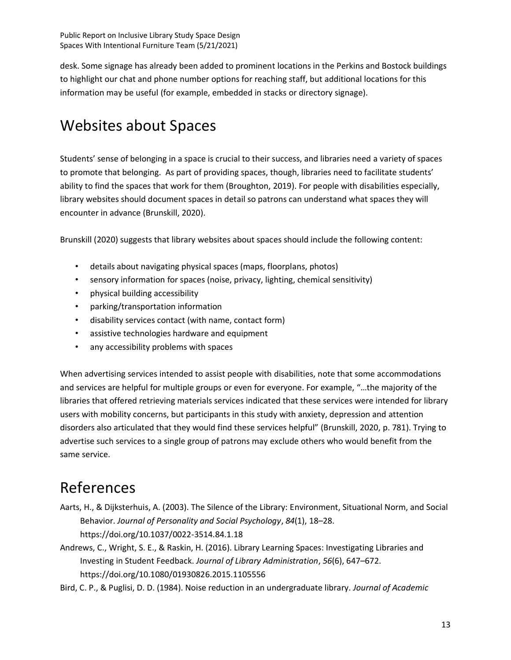desk. Some signage has already been added to prominent locations in the Perkins and Bostock buildings to highlight our chat and phone number options for reaching staff, but additional locations for this information may be useful (for example, embedded in stacks or directory signage).

### <span id="page-12-0"></span>Websites about Spaces

Students' sense of belonging in a space is crucial to their success, and libraries need a variety of spaces to promote that belonging. As part of providing spaces, though, libraries need to facilitate students' ability to find the spaces that work for them (Broughton, 2019). For people with disabilities especially, library websites should document spaces in detail so patrons can understand what spaces they will encounter in advance (Brunskill, 2020).

Brunskill (2020) suggests that library websites about spaces should include the following content:

- details about navigating physical spaces (maps, floorplans, photos)
- sensory information for spaces (noise, privacy, lighting, chemical sensitivity)
- physical building accessibility
- parking/transportation information
- disability services contact (with name, contact form)
- assistive technologies hardware and equipment
- any accessibility problems with spaces

When advertising services intended to assist people with disabilities, note that some accommodations and services are helpful for multiple groups or even for everyone. For example, "…the majority of the libraries that offered retrieving materials services indicated that these services were intended for library users with mobility concerns, but participants in this study with anxiety, depression and attention disorders also articulated that they would find these services helpful" (Brunskill, 2020, p. 781). Trying to advertise such services to a single group of patrons may exclude others who would benefit from the same service.

### <span id="page-12-1"></span>References

- Aarts, H., & Dijksterhuis, A. (2003). The Silence of the Library: Environment, Situational Norm, and Social Behavior. *Journal of Personality and Social Psychology*, *84*(1), 18–28. https://doi.org/10.1037/0022-3514.84.1.18
- Andrews, C., Wright, S. E., & Raskin, H. (2016). Library Learning Spaces: Investigating Libraries and Investing in Student Feedback. *Journal of Library Administration*, *56*(6), 647–672. https://doi.org/10.1080/01930826.2015.1105556

Bird, C. P., & Puglisi, D. D. (1984). Noise reduction in an undergraduate library. *Journal of Academic*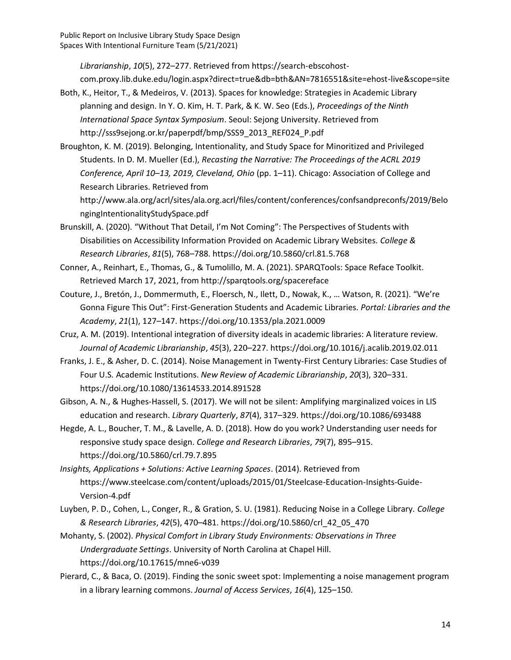*Librarianship*, *10*(5), 272–277. Retrieved from https://search-ebscohost-

com.proxy.lib.duke.edu/login.aspx?direct=true&db=bth&AN=7816551&site=ehost-live&scope=site

- Both, K., Heitor, T., & Medeiros, V. (2013). Spaces for knowledge: Strategies in Academic Library planning and design. In Y. O. Kim, H. T. Park, & K. W. Seo (Eds.), *Proceedings of the Ninth International Space Syntax Symposium*. Seoul: Sejong University. Retrieved from http://sss9sejong.or.kr/paperpdf/bmp/SSS9\_2013\_REF024\_P.pdf
- Broughton, K. M. (2019). Belonging, Intentionality, and Study Space for Minoritized and Privileged Students. In D. M. Mueller (Ed.), *Recasting the Narrative: The Proceedings of the ACRL 2019 Conference, April 10–13, 2019, Cleveland, Ohio* (pp. 1–11). Chicago: Association of College and Research Libraries. Retrieved from

http://www.ala.org/acrl/sites/ala.org.acrl/files/content/conferences/confsandpreconfs/2019/Belo ngingIntentionalityStudySpace.pdf

- Brunskill, A. (2020). "Without That Detail, I'm Not Coming": The Perspectives of Students with Disabilities on Accessibility Information Provided on Academic Library Websites. *College & Research Libraries*, *81*(5), 768–788. https://doi.org/10.5860/crl.81.5.768
- Conner, A., Reinhart, E., Thomas, G., & Tumolillo, M. A. (2021). SPARQTools: Space Reface Toolkit. Retrieved March 17, 2021, from http://sparqtools.org/spacereface
- Couture, J., Bretón, J., Dommermuth, E., Floersch, N., Ilett, D., Nowak, K., … Watson, R. (2021). "We're Gonna Figure This Out": First-Generation Students and Academic Libraries. *Portal: Libraries and the Academy*, *21*(1), 127–147. https://doi.org/10.1353/pla.2021.0009
- Cruz, A. M. (2019). Intentional integration of diversity ideals in academic libraries: A literature review. *Journal of Academic Librarianship*, *45*(3), 220–227. https://doi.org/10.1016/j.acalib.2019.02.011
- Franks, J. E., & Asher, D. C. (2014). Noise Management in Twenty-First Century Libraries: Case Studies of Four U.S. Academic Institutions. *New Review of Academic Librarianship*, *20*(3), 320–331. https://doi.org/10.1080/13614533.2014.891528
- Gibson, A. N., & Hughes-Hassell, S. (2017). We will not be silent: Amplifying marginalized voices in LIS education and research. *Library Quarterly*, *87*(4), 317–329. https://doi.org/10.1086/693488
- Hegde, A. L., Boucher, T. M., & Lavelle, A. D. (2018). How do you work? Understanding user needs for responsive study space design. *College and Research Libraries*, *79*(7), 895–915. https://doi.org/10.5860/crl.79.7.895
- *Insights, Applications + Solutions: Active Learning Spaces*. (2014). Retrieved from https://www.steelcase.com/content/uploads/2015/01/Steelcase-Education-Insights-Guide-Version-4.pdf
- Luyben, P. D., Cohen, L., Conger, R., & Gration, S. U. (1981). Reducing Noise in a College Library. *College & Research Libraries*, *42*(5), 470–481. https://doi.org/10.5860/crl\_42\_05\_470
- Mohanty, S. (2002). *Physical Comfort in Library Study Environments: Observations in Three Undergraduate Settings*. University of North Carolina at Chapel Hill. https://doi.org/10.17615/mne6-v039
- Pierard, C., & Baca, O. (2019). Finding the sonic sweet spot: Implementing a noise management program in a library learning commons. *Journal of Access Services*, *16*(4), 125–150.